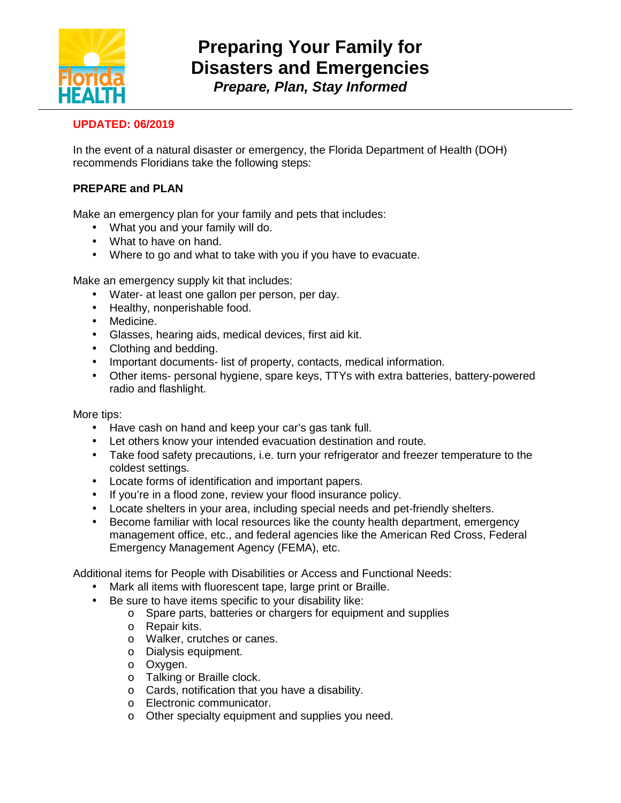

## **UPDATED: 06/2019**

In the event of a natural disaster or emergency, the Florida Department of Health (DOH) recommends Floridians take the following steps:

## **PREPARE and PLAN**

Make an emergency plan for your family and pets that includes:

- What you and your family will do.
- What to have on hand.
- Where to go and what to take with you if you have to evacuate.

Make an emergency supply kit that includes:

- Water- at least one gallon per person, per day.
- Healthy, nonperishable food.
- Medicine.
- Glasses, hearing aids, medical devices, first aid kit.
- Clothing and bedding.
- Important documents- list of property, contacts, medical information.
- Other items- personal hygiene, spare keys, TTYs with extra batteries, battery-powered radio and flashlight.

More tips:

- Have cash on hand and keep your car's gas tank full.
- Let others know your intended evacuation destination and route.
- Take food safety precautions, i.e. turn your refrigerator and freezer temperature to the coldest settings.
- Locate forms of identification and important papers.
- If you're in a flood zone, review your flood insurance policy.
- Locate shelters in your area, including special needs and pet-friendly shelters.
- Become familiar with local resources like the county health department, emergency management office, etc., and federal agencies like the American Red Cross, Federal Emergency Management Agency (FEMA), etc.

Additional items for People with Disabilities or Access and Functional Needs:

- Mark all items with fluorescent tape, large print or Braille.
- Be sure to have items specific to your disability like:
	- o Spare parts, batteries or chargers for equipment and supplies
		- o Repair kits.
		- o Walker, crutches or canes.
		- o Dialysis equipment.
		- o Oxygen.
		- o Talking or Braille clock.
		- o Cards, notification that you have a disability.
		- o Electronic communicator.
		- o Other specialty equipment and supplies you need.